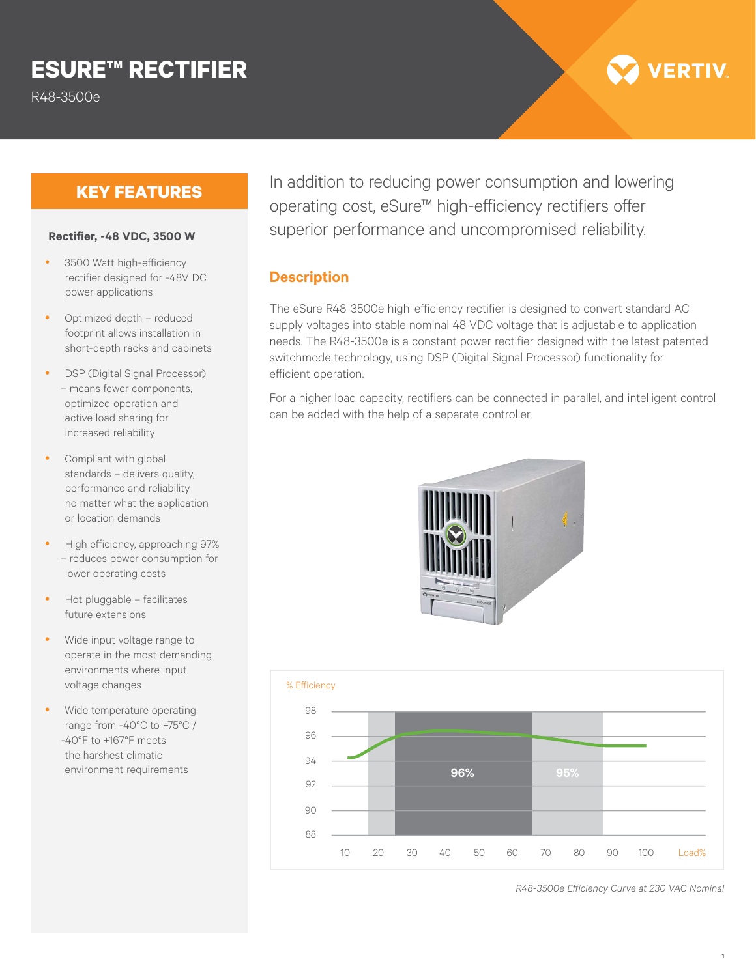# **ESURE™ RECTIFIER**

R48-3500e

## **KEY FEATURES**

#### **Rectifier, -48 VDC, 3500 W**

- 3500 Watt high-efficiency rectifier designed for -48V DC power applications
- Optimized depth reduced footprint allows installation in short-depth racks and cabinets
- DSP (Digital Signal Processor) – means fewer components, optimized operation and active load sharing for increased reliability
- Compliant with global standards – delivers quality, performance and reliability no matter what the application or location demands
- High efficiency, approaching 97% – reduces power consumption for lower operating costs
- Hot pluggable facilitates future extensions
- Wide input voltage range to operate in the most demanding environments where input voltage changes
- Wide temperature operating range from -40°C to +75°C / -40°F to +167°F meets the harshest climatic environment requirements

In addition to reducing power consumption and lowering operating cost, eSure™ high-efficiency rectifiers offer superior performance and uncompromised reliability.

#### **Description**

The eSure R48-3500e high-efficiency rectifier is designed to convert standard AC supply voltages into stable nominal 48 VDC voltage that is adjustable to application needs. The R48-3500e is a constant power rectifier designed with the latest patented switchmode technology, using DSP (Digital Signal Processor) functionality for efficient operation.

For a higher load capacity, rectifiers can be connected in parallel, and intelligent control can be added with the help of a separate controller.





*R48-3500e Efficiency Curve at 230 VAC Nominal*

**/ERTIV**